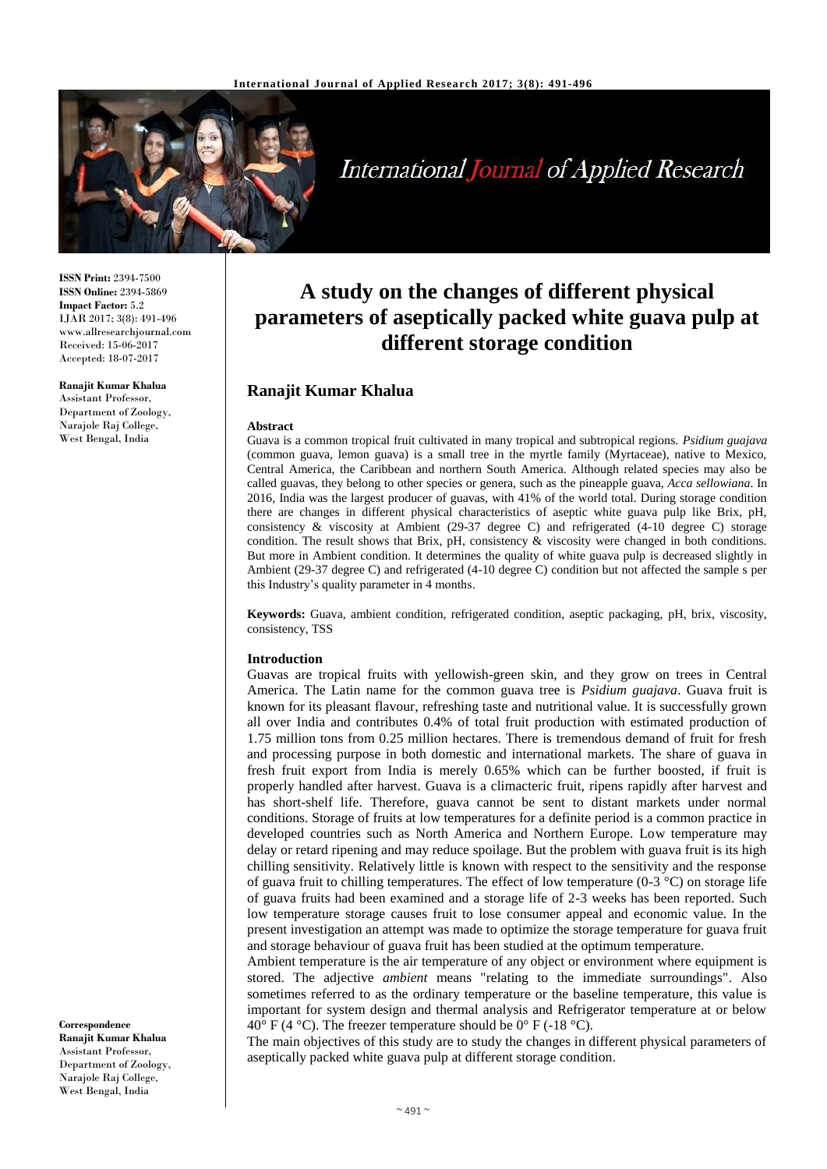

# **International Journal of Applied Research**

**ISSN Print:** 2394-7500 **ISSN Online:** 2394-5869 **Impact Factor:** 5.2 IJAR 2017; 3(8): 491-496 www.allresearchjournal.com Received: 15-06-2017 Accepted: 18-07-2017

**Ranajit Kumar Khalua** Assistant Professor, Department of Zoology, Narajole Raj College, West Bengal, India

**Correspondence Ranajit Kumar Khalua** Assistant Professor, Department of Zoology, Narajole Raj College, West Bengal, India

## **A study on the changes of different physical parameters of aseptically packed white guava pulp at different storage condition**

## **Ranajit Kumar Khalua**

#### **Abstract**

Guava is a common tropical fruit cultivated in many tropical and subtropical regions. *Psidium guajava* (common guava, lemon guava) is a small tree in the myrtle family (Myrtaceae), native to Mexico, Central America, the Caribbean and northern South America. Although related species may also be called guavas, they belong to other species or genera, such as the pineapple guava, *Acca sellowiana*. In 2016, India was the largest producer of guavas, with 41% of the world total. During storage condition there are changes in different physical characteristics of aseptic white guava pulp like Brix, pH, consistency & viscosity at Ambient (29-37 degree C) and refrigerated (4-10 degree C) storage condition. The result shows that Brix, pH, consistency & viscosity were changed in both conditions. But more in Ambient condition. It determines the quality of white guava pulp is decreased slightly in Ambient (29-37 degree C) and refrigerated (4-10 degree C) condition but not affected the sample s per this Industry's quality parameter in 4 months.

**Keywords:** Guava, ambient condition, refrigerated condition, aseptic packaging, pH, brix, viscosity, consistency, TSS

#### **Introduction**

Guavas are tropical fruits with yellowish-green skin, and they grow on trees in Central America. The Latin name for the common guava tree is *Psidium guajava*. Guava fruit is known for its pleasant flavour, refreshing taste and nutritional value. It is successfully grown all over India and contributes 0.4% of total fruit production with estimated production of 1.75 million tons from 0.25 million hectares. There is tremendous demand of fruit for fresh and processing purpose in both domestic and international markets. The share of guava in fresh fruit export from India is merely 0.65% which can be further boosted, if fruit is properly handled after harvest. Guava is a climacteric fruit, ripens rapidly after harvest and has short-shelf life. Therefore, guava cannot be sent to distant markets under normal conditions. Storage of fruits at low temperatures for a definite period is a common practice in developed countries such as North America and Northern Europe. Low temperature may delay or retard ripening and may reduce spoilage. But the problem with guava fruit is its high chilling sensitivity. Relatively little is known with respect to the sensitivity and the response of guava fruit to chilling temperatures. The effect of low temperature  $(0.3 \degree C)$  on storage life of guava fruits had been examined and a storage life of 2-3 weeks has been reported. Such low temperature storage causes fruit to lose consumer appeal and economic value. In the present investigation an attempt was made to optimize the storage temperature for guava fruit and storage behaviour of guava fruit has been studied at the optimum temperature.

Ambient temperature is the air temperature of any object or environment where equipment is stored. The adjective *ambient* means "relating to the immediate surroundings". Also sometimes referred to as the ordinary temperature or the baseline temperature, this value is important for system design and thermal analysis and Refrigerator temperature at or below 40° F (4 °C). The freezer temperature should be 0° F (-18 °C).

The main objectives of this study are to study the changes in different physical parameters of aseptically packed white guava pulp at different storage condition.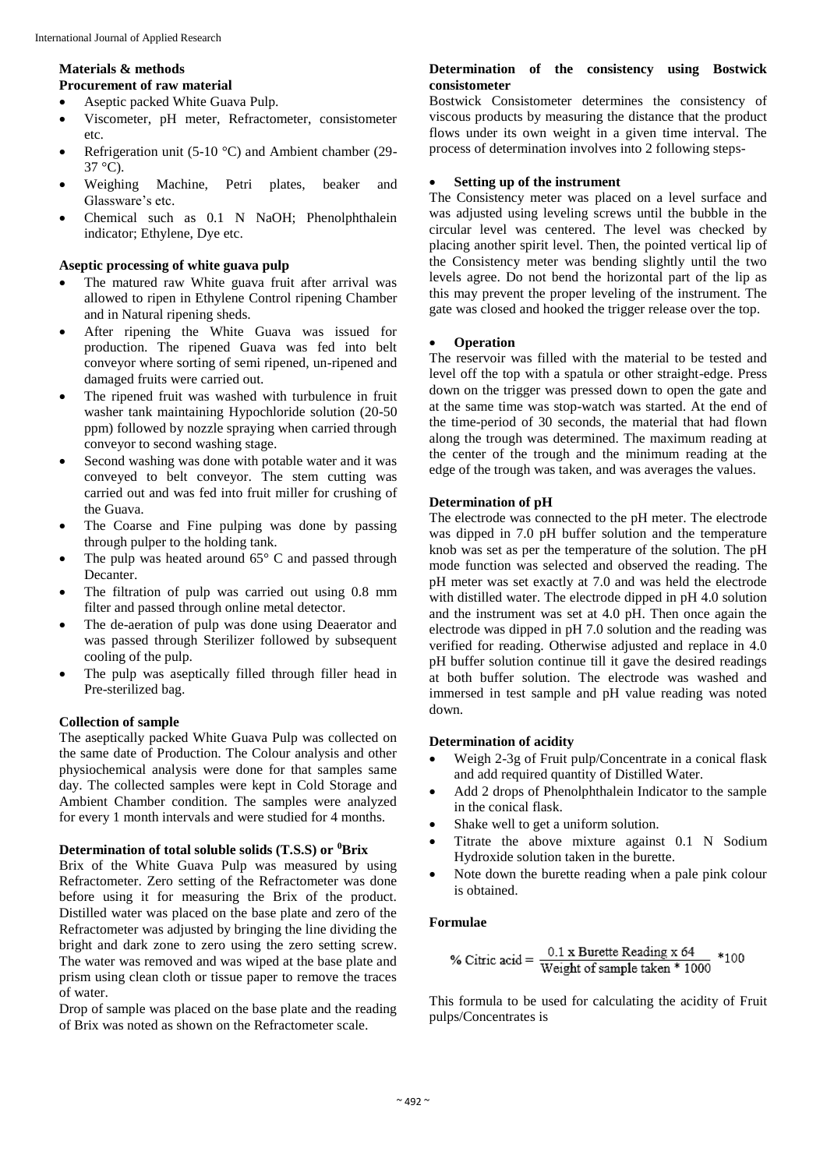#### **Materials & methods Procurement of raw material**

- Aseptic packed White Guava Pulp.
- Viscometer, pH meter, Refractometer, consistometer etc.
- Refrigeration unit (5-10 °C) and Ambient chamber (29-  $37 \degree C$ ).
- Weighing Machine, Petri plates, beaker and Glassware's etc.
- Chemical such as 0.1 N NaOH; Phenolphthalein indicator; Ethylene, Dye etc.

## **Aseptic processing of white guava pulp**

- The matured raw White guava fruit after arrival was allowed to ripen in Ethylene Control ripening Chamber and in Natural ripening sheds.
- After ripening the White Guava was issued for production. The ripened Guava was fed into belt conveyor where sorting of semi ripened, un-ripened and damaged fruits were carried out.
- The ripened fruit was washed with turbulence in fruit washer tank maintaining Hypochloride solution (20-50 ppm) followed by nozzle spraying when carried through conveyor to second washing stage.
- Second washing was done with potable water and it was conveyed to belt conveyor. The stem cutting was carried out and was fed into fruit miller for crushing of the Guava.
- The Coarse and Fine pulping was done by passing through pulper to the holding tank.
- The pulp was heated around  $65^{\circ}$  C and passed through Decanter.
- The filtration of pulp was carried out using 0.8 mm filter and passed through online metal detector.
- The de-aeration of pulp was done using Deaerator and was passed through Sterilizer followed by subsequent cooling of the pulp.
- The pulp was aseptically filled through filler head in Pre-sterilized bag.

## **Collection of sample**

The aseptically packed White Guava Pulp was collected on the same date of Production. The Colour analysis and other physiochemical analysis were done for that samples same day. The collected samples were kept in Cold Storage and Ambient Chamber condition. The samples were analyzed for every 1 month intervals and were studied for 4 months.

## **Determination of total soluble solids (T.S.S) or <sup>0</sup>Brix**

Brix of the White Guava Pulp was measured by using Refractometer. Zero setting of the Refractometer was done before using it for measuring the Brix of the product. Distilled water was placed on the base plate and zero of the Refractometer was adjusted by bringing the line dividing the bright and dark zone to zero using the zero setting screw. The water was removed and was wiped at the base plate and prism using clean cloth or tissue paper to remove the traces of water.

Drop of sample was placed on the base plate and the reading of Brix was noted as shown on the Refractometer scale.

#### **Determination of the consistency using Bostwick consistometer**

Bostwick Consistometer determines the consistency of viscous products by measuring the distance that the product flows under its own weight in a given time interval. The process of determination involves into 2 following steps-

## **Setting up of the instrument**

The Consistency meter was placed on a level surface and was adjusted using leveling screws until the bubble in the circular level was centered. The level was checked by placing another spirit level. Then, the pointed vertical lip of the Consistency meter was bending slightly until the two levels agree. Do not bend the horizontal part of the lip as this may prevent the proper leveling of the instrument. The gate was closed and hooked the trigger release over the top.

## **Operation**

The reservoir was filled with the material to be tested and level off the top with a spatula or other straight-edge. Press down on the trigger was pressed down to open the gate and at the same time was stop-watch was started. At the end of the time-period of 30 seconds, the material that had flown along the trough was determined. The maximum reading at the center of the trough and the minimum reading at the edge of the trough was taken, and was averages the values.

## **Determination of pH**

The electrode was connected to the pH meter. The electrode was dipped in 7.0 pH buffer solution and the temperature knob was set as per the temperature of the solution. The pH mode function was selected and observed the reading. The pH meter was set exactly at 7.0 and was held the electrode with distilled water. The electrode dipped in pH 4.0 solution and the instrument was set at 4.0 pH. Then once again the electrode was dipped in pH 7.0 solution and the reading was verified for reading. Otherwise adjusted and replace in 4.0 pH buffer solution continue till it gave the desired readings at both buffer solution. The electrode was washed and immersed in test sample and pH value reading was noted down.

## **Determination of acidity**

- Weigh 2-3g of Fruit pulp/Concentrate in a conical flask and add required quantity of Distilled Water.
- Add 2 drops of Phenolphthalein Indicator to the sample in the conical flask.
- Shake well to get a uniform solution.
- Titrate the above mixture against 0.1 N Sodium Hydroxide solution taken in the burette.
- Note down the burette reading when a pale pink colour is obtained.

## **Formulae**

% Citric acid = 
$$
\frac{0.1 \text{ x Burette Reading x 64}}{\text{Weight of sample taken * 1000}} * 100
$$

This formula to be used for calculating the acidity of Fruit pulps/Concentrates is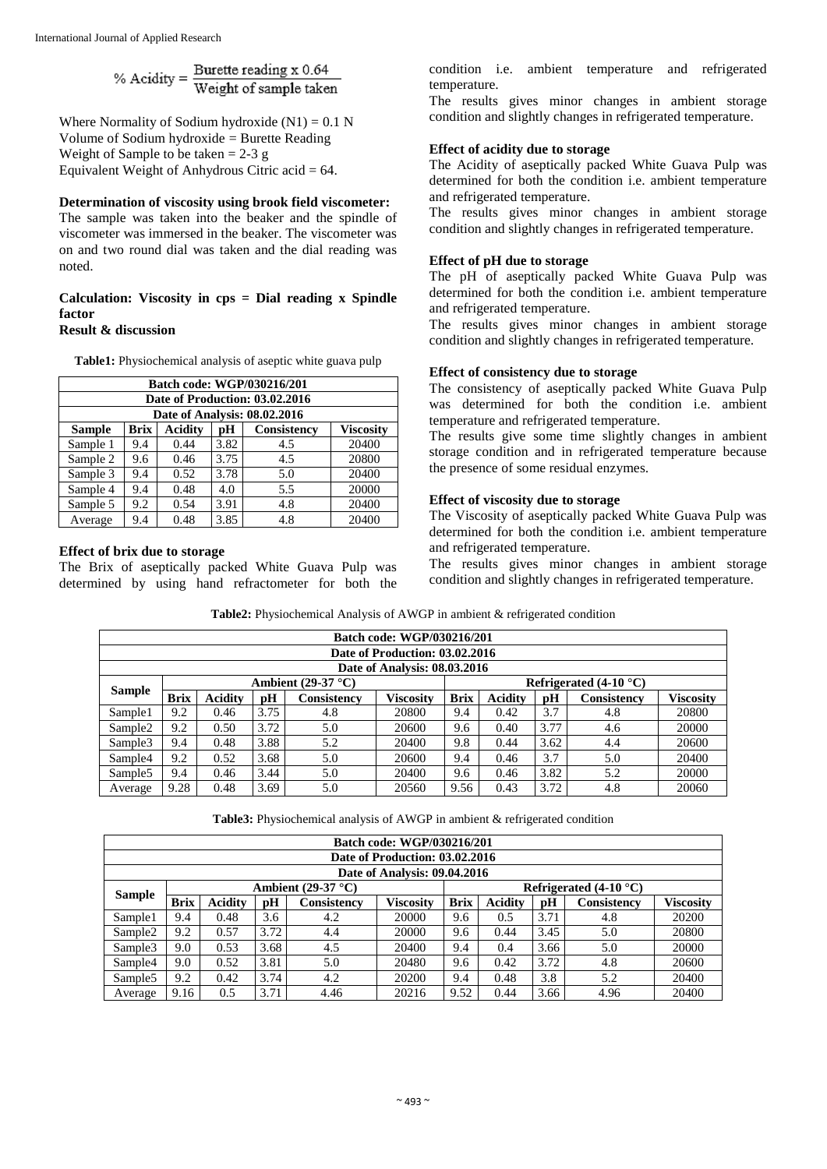% Acidity =  $\frac{\text{Burette reading x 0.64}}{\text{Weight of sample taken}}$ 

Where Normality of Sodium hydroxide  $(N1) = 0.1$  N Volume of Sodium hydroxide = Burette Reading Weight of Sample to be taken  $= 2-3$  g Equivalent Weight of Anhydrous Citric acid  $= 64$ .

#### **Determination of viscosity using brook field viscometer:**

The sample was taken into the beaker and the spindle of viscometer was immersed in the beaker. The viscometer was on and two round dial was taken and the dial reading was noted.

#### **Calculation: Viscosity in cps = Dial reading x Spindle factor Result & discussion**

**Table1:** Physiochemical analysis of aseptic white guava pulp

| Batch code: WGP/030216/201                                                              |     |      |      |     |       |  |  |  |  |
|-----------------------------------------------------------------------------------------|-----|------|------|-----|-------|--|--|--|--|
| Date of Production: 03.02.2016                                                          |     |      |      |     |       |  |  |  |  |
| Date of Analysis: 08.02.2016                                                            |     |      |      |     |       |  |  |  |  |
| <b>Acidity</b><br>Consistency<br><b>Brix</b><br><b>Viscosity</b><br><b>Sample</b><br>pН |     |      |      |     |       |  |  |  |  |
| Sample 1                                                                                | 9.4 | 0.44 | 3.82 | 4.5 | 20400 |  |  |  |  |
| Sample 2                                                                                | 9.6 | 0.46 | 3.75 | 4.5 | 20800 |  |  |  |  |
| Sample 3                                                                                | 9.4 | 0.52 | 3.78 | 5.0 | 20400 |  |  |  |  |
| Sample 4                                                                                | 9.4 | 0.48 | 4.0  | 5.5 | 20000 |  |  |  |  |
| Sample 5                                                                                | 9.2 | 0.54 | 3.91 | 4.8 | 20400 |  |  |  |  |
| Average                                                                                 | 9.4 | 0.48 | 3.85 | 4.8 | 20400 |  |  |  |  |

#### **Effect of brix due to storage**

The Brix of aseptically packed White Guava Pulp was determined by using hand refractometer for both the condition i.e. ambient temperature and refrigerated temperature.

The results gives minor changes in ambient storage condition and slightly changes in refrigerated temperature.

#### **Effect of acidity due to storage**

The Acidity of aseptically packed White Guava Pulp was determined for both the condition i.e. ambient temperature and refrigerated temperature.

The results gives minor changes in ambient storage condition and slightly changes in refrigerated temperature.

#### **Effect of pH due to storage**

The pH of aseptically packed White Guava Pulp was determined for both the condition i.e. ambient temperature and refrigerated temperature.

The results gives minor changes in ambient storage condition and slightly changes in refrigerated temperature.

#### **Effect of consistency due to storage**

The consistency of aseptically packed White Guava Pulp was determined for both the condition i.e. ambient temperature and refrigerated temperature.

The results give some time slightly changes in ambient storage condition and in refrigerated temperature because the presence of some residual enzymes.

## **Effect of viscosity due to storage**

The Viscosity of aseptically packed White Guava Pulp was determined for both the condition i.e. ambient temperature and refrigerated temperature.

The results gives minor changes in ambient storage condition and slightly changes in refrigerated temperature.

| Batch code: WGP/030216/201                              |             |                |      |             |                  |             |                |      |             |                  |
|---------------------------------------------------------|-------------|----------------|------|-------------|------------------|-------------|----------------|------|-------------|------------------|
| Date of Production: 03.02.2016                          |             |                |      |             |                  |             |                |      |             |                  |
| Date of Analysis: 08.03.2016                            |             |                |      |             |                  |             |                |      |             |                  |
| Refrigerated $(4-10$ °C)<br>Ambient $(29-37 \degree C)$ |             |                |      |             |                  |             |                |      |             |                  |
| <b>Sample</b>                                           | <b>Brix</b> | <b>Acidity</b> | рH   | Consistency | <b>Viscosity</b> | <b>Brix</b> | <b>Acidity</b> | pH   | Consistency | <b>Viscosity</b> |
| Sample1                                                 | 9.2         | 0.46           | 3.75 | 4.8         | 20800            | 9.4         | 0.42           | 3.7  | 4.8         | 20800            |
| Sample <sub>2</sub>                                     | 9.2         | 0.50           | 3.72 | 5.0         | 20600            | 9.6         | 0.40           | 3.77 | 4.6         | 20000            |
| Sample <sub>3</sub>                                     | 9.4         | 0.48           | 3.88 | 5.2         | 20400            | 9.8         | 0.44           | 3.62 | 4.4         | 20600            |
| Sample4                                                 | 9.2         | 0.52           | 3.68 | 5.0         | 20600            | 9.4         | 0.46           | 3.7  | 5.0         | 20400            |
| Sample <sub>5</sub>                                     | 9.4         | 0.46           | 3.44 | 5.0         | 20400            | 9.6         | 0.46           | 3.82 | 5.2         | 20000            |
| Average                                                 | 9.28        | 0.48           | 3.69 | 5.0         | 20560            | 9.56        | 0.43           | 3.72 | 4.8         | 20060            |

**Table2:** Physiochemical Analysis of AWGP in ambient & refrigerated condition

**Table3:** Physiochemical analysis of AWGP in ambient & refrigerated condition

| Batch code: WGP/030216/201     |                                                         |                |      |                    |                  |             |                |      |                    |           |
|--------------------------------|---------------------------------------------------------|----------------|------|--------------------|------------------|-------------|----------------|------|--------------------|-----------|
| Date of Production: 03.02.2016 |                                                         |                |      |                    |                  |             |                |      |                    |           |
| Date of Analysis: 09.04.2016   |                                                         |                |      |                    |                  |             |                |      |                    |           |
|                                | Ambient $(29-37 \degree C)$<br>Refrigerated $(4-10$ °C) |                |      |                    |                  |             |                |      |                    |           |
| <b>Sample</b>                  | <b>Brix</b>                                             | <b>Acidity</b> | pH   | <b>Consistency</b> | <b>Viscosity</b> | <b>Brix</b> | <b>Acidity</b> | pH   | <b>Consistency</b> | Viscositv |
| Sample1                        | 9.4                                                     | 0.48           | 3.6  | 4.2                | 20000            | 9.6         | 0.5            | 3.71 | 4.8                | 20200     |
| Sample <sub>2</sub>            | 9.2                                                     | 0.57           | 3.72 | 4.4                | 20000            | 9.6         | 0.44           | 3.45 | 5.0                | 20800     |
| Sample3                        | 9.0                                                     | 0.53           | 3.68 | 4.5                | 20400            | 9.4         | 0.4            | 3.66 | 5.0                | 20000     |
| Sample4                        | 9.0                                                     | 0.52           | 3.81 | 5.0                | 20480            | 9.6         | 0.42           | 3.72 | 4.8                | 20600     |
| Sample <sub>5</sub>            | 9.2                                                     | 0.42           | 3.74 | 4.2                | 20200            | 9.4         | 0.48           | 3.8  | 5.2                | 20400     |
| Average                        | 9.16                                                    | 0.5            | 3.71 | 4.46               | 20216            | 9.52        | 0.44           | 3.66 | 4.96               | 20400     |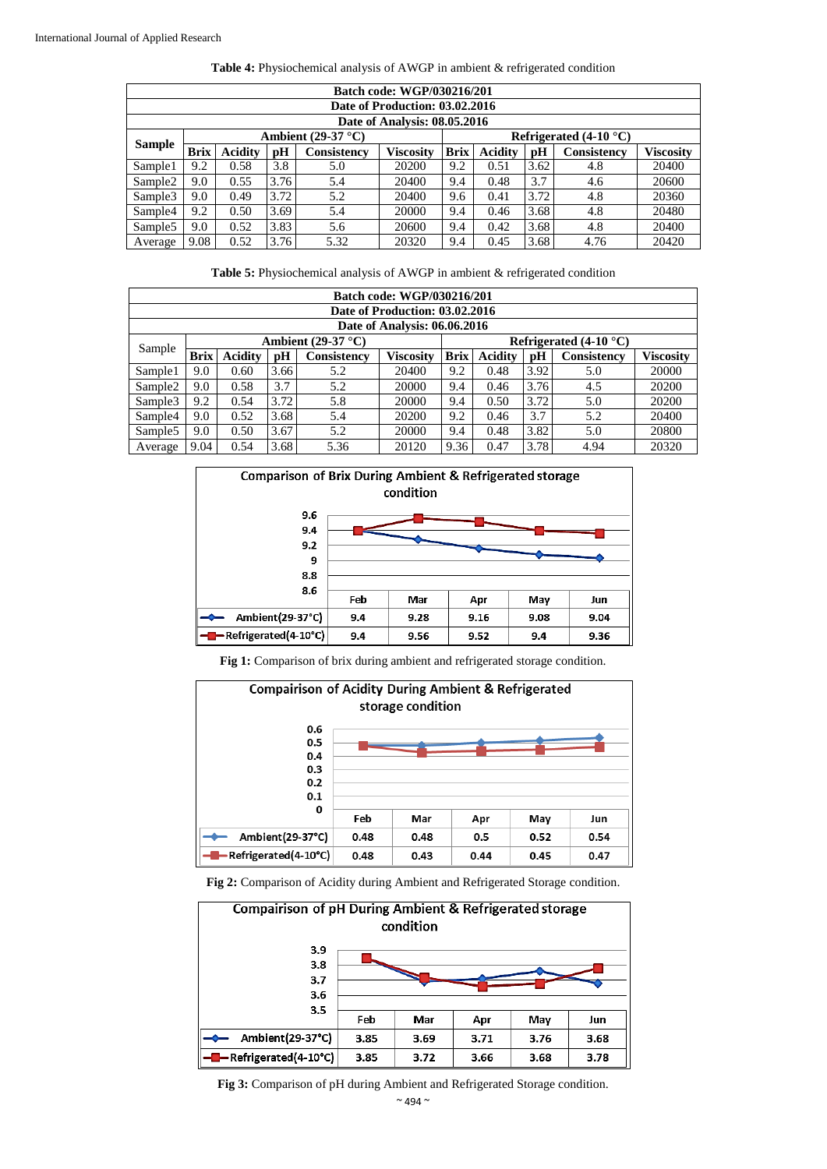| <b>Batch code: WGP/030216/201</b> |                                                         |                |      |                    |                  |             |                |      |                    |                  |
|-----------------------------------|---------------------------------------------------------|----------------|------|--------------------|------------------|-------------|----------------|------|--------------------|------------------|
| Date of Production: 03.02.2016    |                                                         |                |      |                    |                  |             |                |      |                    |                  |
| Date of Analysis: 08.05.2016      |                                                         |                |      |                    |                  |             |                |      |                    |                  |
|                                   | Ambient $(29-37 \degree C)$<br>Refrigerated $(4-10$ °C) |                |      |                    |                  |             |                |      |                    |                  |
| <b>Sample</b>                     | <b>Brix</b>                                             | <b>Acidity</b> | pH   | <b>Consistency</b> | <b>Viscosity</b> | <b>Brix</b> | <b>Acidity</b> | pH   | <b>Consistency</b> | <b>Viscosity</b> |
| Sample1                           | 9.2                                                     | 0.58           | 3.8  | 5.0                | 20200            | 9.2         | 0.51           | 3.62 | 4.8                | 20400            |
| Sample2                           | 9.0                                                     | 0.55           | 3.76 | 5.4                | 20400            | 9.4         | 0.48           | 3.7  | 4.6                | 20600            |
| Sample <sub>3</sub>               | 9.0                                                     | 0.49           | 3.72 | 5.2                | 20400            | 9.6         | 0.41           | 3.72 | 4.8                | 20360            |
| Sample4                           | 9.2                                                     | 0.50           | 3.69 | 5.4                | 20000            | 9.4         | 0.46           | 3.68 | 4.8                | 20480            |
| Sample5                           | 9.0                                                     | 0.52           | 3.83 | 5.6                | 20600            | 9.4         | 0.42           | 3.68 | 4.8                | 20400            |
| Average                           | 9.08                                                    | 0.52           | 3.76 | 5.32               | 20320            | 9.4         | 0.45           | 3.68 | 4.76               | 20420            |

|  | Table 4: Physiochemical analysis of AWGP in ambient & refrigerated condition |
|--|------------------------------------------------------------------------------|
|  |                                                                              |

| Table 5: Physiochemical analysis of AWGP in ambient & refrigerated condition |  |
|------------------------------------------------------------------------------|--|
|------------------------------------------------------------------------------|--|

| <b>Batch code: WGP/030216/201</b> |                                                         |                |      |             |           |             |                |      |             |                  |
|-----------------------------------|---------------------------------------------------------|----------------|------|-------------|-----------|-------------|----------------|------|-------------|------------------|
| Date of Production: 03.02.2016    |                                                         |                |      |             |           |             |                |      |             |                  |
| Date of Analysis: 06.06.2016      |                                                         |                |      |             |           |             |                |      |             |                  |
|                                   | Ambient $(29-37 \degree C)$<br>Refrigerated $(4-10$ °C) |                |      |             |           |             |                |      |             |                  |
| Sample                            | <b>Brix</b>                                             | <b>Acidity</b> | pH   | Consistency | Viscositv | <b>Brix</b> | <b>Acidity</b> | pH   | Consistency | <b>Viscosity</b> |
| Sample1                           | 9.0                                                     | 0.60           | 3.66 | 5.2         | 20400     | 9.2         | 0.48           | 3.92 | 5.0         | 20000            |
| Sample <sub>2</sub>               | 9.0                                                     | 0.58           | 3.7  | 5.2         | 20000     | 9.4         | 0.46           | 3.76 | 4.5         | 20200            |
| Sample <sub>3</sub>               | 9.2                                                     | 0.54           | 3.72 | 5.8         | 20000     | 9.4         | 0.50           | 3.72 | 5.0         | 20200            |
| Sample4                           | 9.0                                                     | 0.52           | 3.68 | 5.4         | 20200     | 9.2         | 0.46           | 3.7  | 5.2         | 20400            |
| Sample <sub>5</sub>               | 9.0                                                     | 0.50           | 3.67 | 5.2         | 20000     | 9.4         | 0.48           | 3.82 | 5.0         | 20800            |
| Average                           | 9.04                                                    | 0.54           | 3.68 | 5.36        | 20120     | 9.36        | 0.47           | 3.78 | 4.94        | 20320            |



**Fig 1:** Comparison of brix during ambient and refrigerated storage condition.



**Fig 2:** Comparison of Acidity during Ambient and Refrigerated Storage condition.



**Fig 3:** Comparison of pH during Ambient and Refrigerated Storage condition.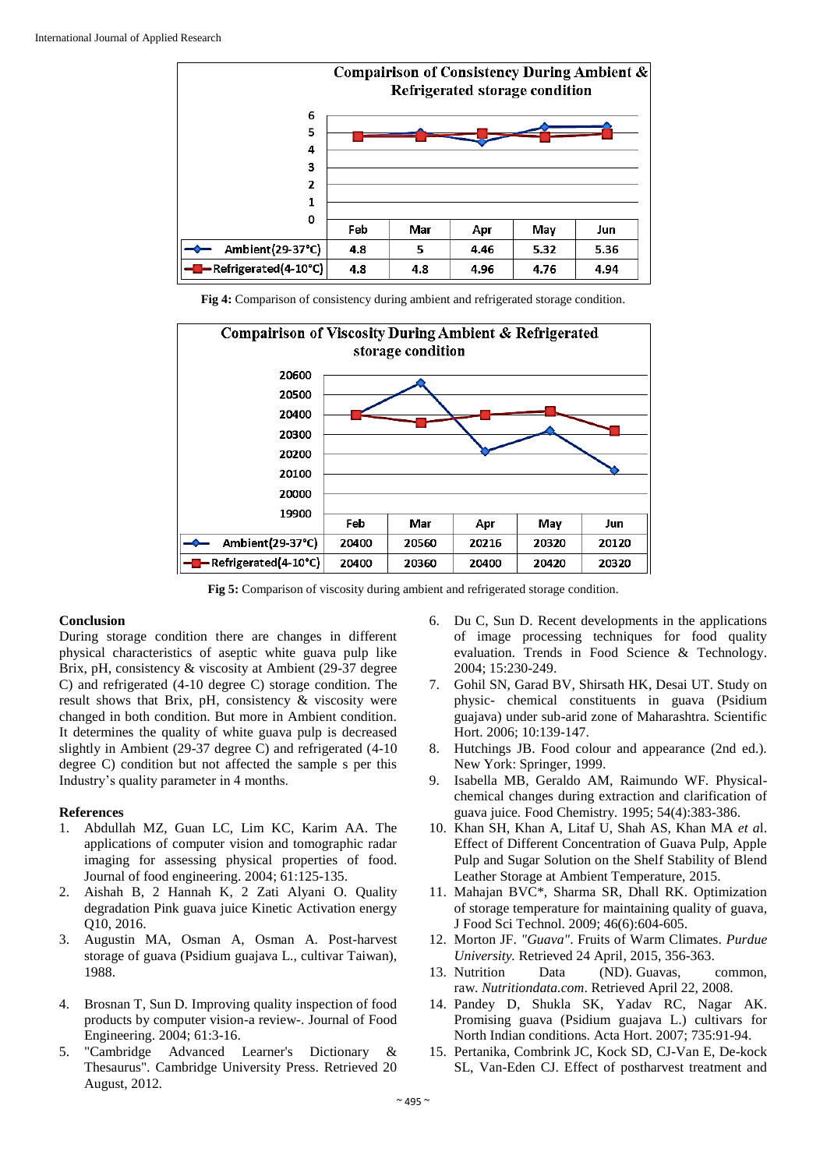

**Fig 4:** Comparison of consistency during ambient and refrigerated storage condition.



**Fig 5:** Comparison of viscosity during ambient and refrigerated storage condition.

#### **Conclusion**

During storage condition there are changes in different physical characteristics of aseptic white guava pulp like Brix, pH, consistency & viscosity at Ambient (29-37 degree C) and refrigerated (4-10 degree C) storage condition. The result shows that Brix, pH, consistency & viscosity were changed in both condition. But more in Ambient condition. It determines the quality of white guava pulp is decreased slightly in Ambient (29-37 degree C) and refrigerated (4-10 degree C) condition but not affected the sample s per this Industry's quality parameter in 4 months.

#### **References**

- 1. Abdullah MZ, Guan LC, Lim KC, Karim AA. The applications of computer vision and tomographic radar imaging for assessing physical properties of food. Journal of food engineering. 2004; 61:125-135.
- 2. Aishah B, 2 Hannah K, 2 Zati Alyani O. Quality degradation Pink guava juice Kinetic Activation energy Q10, 2016.
- 3. Augustin MA, Osman A, Osman A. Post-harvest storage of guava (Psidium guajava L., cultivar Taiwan), 1988.
- 4. Brosnan T, Sun D. Improving quality inspection of food products by computer vision-a review-. Journal of Food Engineering. 2004; 61:3-16.
- 5. "Cambridge Advanced Learner's Dictionary & Thesaurus"*.* Cambridge University Press. Retrieved 20 August, 2012*.*
- 6. Du C, Sun D. Recent developments in the applications of image processing techniques for food quality evaluation. Trends in Food Science & Technology. 2004; 15:230-249.
- 7. Gohil SN, Garad BV, Shirsath HK, Desai UT. Study on physic- chemical constituents in guava (Psidium guajava) under sub-arid zone of Maharashtra. Scientific Hort. 2006; 10:139-147.
- 8. Hutchings JB. Food colour and appearance (2nd ed.). New York: Springer, 1999.
- 9. Isabella MB, Geraldo AM, Raimundo WF. Physicalchemical changes during extraction and clarification of guava juice*.* Food Chemistry*.* 1995; 54(4):383-386.
- 10. Khan SH, Khan A, Litaf U, Shah AS, Khan MA *et a*l. Effect of Different Concentration of Guava Pulp, Apple Pulp and Sugar Solution on the Shelf Stability of Blend Leather Storage at Ambient Temperature, 2015.
- 11. Mahajan BVC\*, Sharma SR, Dhall RK. Optimization of storage temperature for maintaining quality of guava, J Food Sci Technol. 2009; 46(6):604-605.
- 12. Morton JF. *"Guava"*. Fruits of Warm Climates. *Purdue University.* Retrieved 24 April, 2015, 356-363.
- 13. Nutrition Data (ND). Guavas, common, raw. *Nutritiondata.com*. Retrieved April 22, 2008.
- 14. Pandey D, Shukla SK, Yadav RC, Nagar AK. Promising guava (Psidium guajava L.) cultivars for North Indian conditions. Acta Hort. 2007; 735:91-94.
- 15. Pertanika, Combrink JC, Kock SD, CJ-Van E, De-kock SL, Van-Eden CJ. Effect of postharvest treatment and